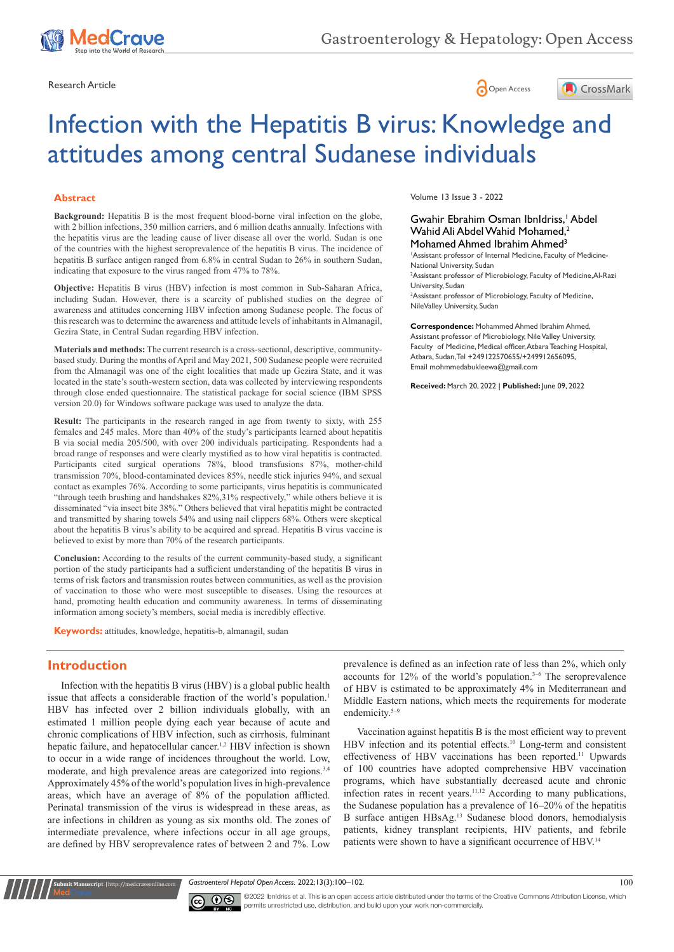





# Infection with the Hepatitis B virus: Knowledge and attitudes among central Sudanese individuals

#### **Abstract**

**Background:** Hepatitis B is the most frequent blood-borne viral infection on the globe, with 2 billion infections, 350 million carriers, and 6 million deaths annually. Infections with the hepatitis virus are the leading cause of liver disease all over the world. Sudan is one of the countries with the highest seroprevalence of the hepatitis B virus. The incidence of hepatitis B surface antigen ranged from 6.8% in central Sudan to 26% in southern Sudan, indicating that exposure to the virus ranged from 47% to 78%.

**Objective:** Hepatitis B virus (HBV) infection is most common in Sub-Saharan Africa, including Sudan. However, there is a scarcity of published studies on the degree of awareness and attitudes concerning HBV infection among Sudanese people. The focus of this research was to determine the awareness and attitude levels of inhabitants in Almanagil, Gezira State, in Central Sudan regarding HBV infection.

**Materials and methods:** The current research is a cross-sectional, descriptive, communitybased study. During the months of April and May 2021, 500 Sudanese people were recruited from the Almanagil was one of the eight localities that made up Gezira State, and it was located in the state's south-western section, data was collected by interviewing respondents through close ended questionnaire. The statistical package for social science (IBM SPSS version 20.0) for Windows software package was used to analyze the data.

**Result:** The participants in the research ranged in age from twenty to sixty, with 255 females and 245 males. More than 40% of the study's participants learned about hepatitis B via social media 205/500, with over 200 individuals participating. Respondents had a broad range of responses and were clearly mystified as to how viral hepatitis is contracted. Participants cited surgical operations 78%, blood transfusions 87%, mother-child transmission 70%, blood-contaminated devices 85%, needle stick injuries 94%, and sexual contact as examples 76%. According to some participants, virus hepatitis is communicated "through teeth brushing and handshakes 82%,31% respectively," while others believe it is disseminated "via insect bite 38%." Others believed that viral hepatitis might be contracted and transmitted by sharing towels 54% and using nail clippers 68%. Others were skeptical about the hepatitis B virus's ability to be acquired and spread. Hepatitis B virus vaccine is believed to exist by more than 70% of the research participants.

**Conclusion:** According to the results of the current community-based study, a significant portion of the study participants had a sufficient understanding of the hepatitis B virus in terms of risk factors and transmission routes between communities, as well as the provision of vaccination to those who were most susceptible to diseases. Using the resources at hand, promoting health education and community awareness. In terms of disseminating information among society's members, social media is incredibly effective.

**Keywords:** attitudes, knowledge, hepatitis-b, almanagil, sudan

#### **Introduction**

**Kubmit Manuscript** | http://medcraveonline.c

Infection with the hepatitis B virus (HBV) is a global public health issue that affects a considerable fraction of the world's population.<sup>1</sup> HBV has infected over 2 billion individuals globally, with an estimated 1 million people dying each year because of acute and chronic complications of HBV infection, such as cirrhosis, fulminant hepatic failure, and hepatocellular cancer.<sup>1,2</sup> HBV infection is shown to occur in a wide range of incidences throughout the world. Low, moderate, and high prevalence areas are categorized into regions.3,4 Approximately 45% of the world's population lives in high-prevalence areas, which have an average of 8% of the population afflicted. Perinatal transmission of the virus is widespread in these areas, as are infections in children as young as six months old. The zones of intermediate prevalence, where infections occur in all age groups, are defined by HBV seroprevalence rates of between 2 and 7%. Low

Volume 13 Issue 3 - 2022

#### Gwahir Ebrahim Osman IbnIdriss,<sup>1</sup> Abdel Wahid Ali Abdel Wahid Mohamed.<sup>2</sup> Mohamed Ahmed Ibrahim Ahmed<sup>3</sup>

1 Assistant professor of Internal Medicine, Faculty of Medicine-National University, Sudan

2 Assistant professor of Microbiology, Faculty of Medicine,Al-Razi University, Sudan

3 Assistant professor of Microbiology, Faculty of Medicine, NileValley University, Sudan

**Correspondence:** Mohammed Ahmed Ibrahim Ahmed, Assistant professor of Microbiology, Nile Valley University, Faculty of Medicine, Medical officer, Atbara Teaching Hospital, Atbara, Sudan, Tel +249122570655/+249912656095, Email mohmmedabukleewa@gmail.com

**Received:** March 20, 2022 | **Published:** June 09, 2022

prevalence is defined as an infection rate of less than 2%, which only accounts for  $12\%$  of the world's population.<sup>3-6</sup> The seroprevalence of HBV is estimated to be approximately 4% in Mediterranean and Middle Eastern nations, which meets the requirements for moderate endemicity.<sup>5-9</sup>

Vaccination against hepatitis B is the most efficient way to prevent HBV infection and its potential effects.<sup>10</sup> Long-term and consistent effectiveness of HBV vaccinations has been reported.<sup>11</sup> Upwards of 100 countries have adopted comprehensive HBV vaccination programs, which have substantially decreased acute and chronic infection rates in recent years.11,12 According to many publications, the Sudanese population has a prevalence of 16–20% of the hepatitis B surface antigen HBsAg.<sup>13</sup> Sudanese blood donors, hemodialysis patients, kidney transplant recipients, HIV patients, and febrile patients were shown to have a significant occurrence of HBV.14





©2022 IbnIdriss et al. This is an open access article distributed under the terms of the Creative Commons Attribution License, which permits unrestricted use, distribution, and build upon your work non-commercially.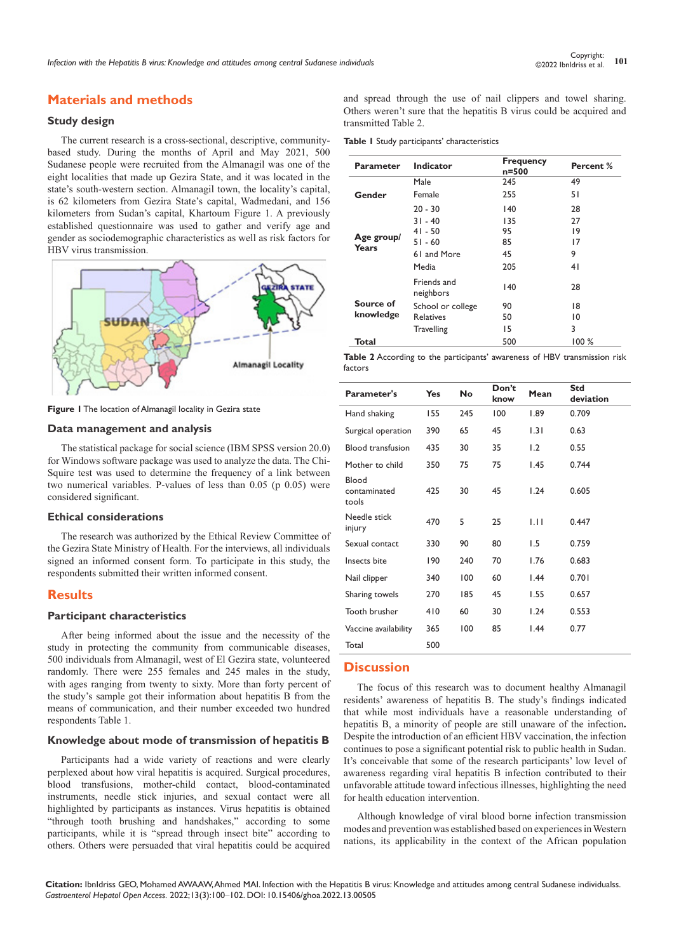## **Materials and methods**

## **Study design**

The current research is a cross-sectional, descriptive, communitybased study. During the months of April and May 2021, 500 Sudanese people were recruited from the Almanagil was one of the eight localities that made up Gezira State, and it was located in the state's south-western section. Almanagil town, the locality's capital, is 62 kilometers from Gezira State's capital, Wadmedani, and 156 kilometers from Sudan's capital, Khartoum Figure 1. A previously established questionnaire was used to gather and verify age and gender as sociodemographic characteristics as well as risk factors for HBV virus transmission.



**Figure 1** The location of Almanagil locality in Gezira state

#### **Data management and analysis**

The statistical package for social science (IBM SPSS version 20.0) for Windows software package was used to analyze the data. The Chi-Squire test was used to determine the frequency of a link between two numerical variables. P-values of less than 0.05 (p 0.05) were considered significant.

#### **Ethical considerations**

The research was authorized by the Ethical Review Committee of the Gezira State Ministry of Health. For the interviews, all individuals signed an informed consent form. To participate in this study, the respondents submitted their written informed consent.

#### **Results**

#### **Participant characteristics**

After being informed about the issue and the necessity of the study in protecting the community from communicable diseases, 500 individuals from Almanagil, west of El Gezira state, volunteered randomly. There were 255 females and 245 males in the study, with ages ranging from twenty to sixty. More than forty percent of the study's sample got their information about hepatitis B from the means of communication, and their number exceeded two hundred respondents Table 1.

#### **Knowledge about mode of transmission of hepatitis B**

Participants had a wide variety of reactions and were clearly perplexed about how viral hepatitis is acquired. Surgical procedures, blood transfusions, mother-child contact, blood-contaminated instruments, needle stick injuries, and sexual contact were all highlighted by participants as instances. Virus hepatitis is obtained "through tooth brushing and handshakes," according to some participants, while it is "spread through insect bite" according to others. Others were persuaded that viral hepatitis could be acquired and spread through the use of nail clippers and towel sharing. Others weren't sure that the hepatitis B virus could be acquired and transmitted Table 2.

**Table 1** Study participants' characteristics

| Parameter              | Indicator                | <b>Frequency</b><br>n=500 | Percent % |
|------------------------|--------------------------|---------------------------|-----------|
| Gender                 | Male                     | 245                       | 49        |
|                        | Female                   | 255                       | 51        |
|                        | $20 - 30$                | 140                       | 28        |
| Age group/<br>Years    | $31 - 40$                | 135                       | 27        |
|                        | $41 - 50$                | 95                        | 19        |
|                        | $51 - 60$                | 85                        | 17        |
|                        | 61 and More              | 45                        | 9         |
|                        | Media                    | 205                       | 41        |
| Source of<br>knowledge | Friends and<br>neighbors | 140                       | 28        |
|                        | School or college        | 90                        | 18        |
|                        | <b>Relatives</b>         | 50                        | 10        |
|                        | <b>Travelling</b>        | 15                        | 3         |
| Total                  |                          | 500                       | 100%      |

**Table 2** According to the participants' awareness of HBV transmission risk factors

| <b>Parameter's</b>             | Yes | No  | Don't<br>know | Mean | Std<br>deviation |
|--------------------------------|-----|-----|---------------|------|------------------|
| Hand shaking                   | 155 | 245 | 100           | 1.89 | 0.709            |
| Surgical operation             | 390 | 65  | 45            | 1.31 | 0.63             |
| <b>Blood transfusion</b>       | 435 | 30  | 35            | 1.2  | 0.55             |
| Mother to child                | 350 | 75  | 75            | 1.45 | 0.744            |
| Blood<br>contaminated<br>tools | 425 | 30  | 45            | 1.24 | 0.605            |
| Needle stick<br>injury         | 470 | 5   | 25            | 1.11 | 0.447            |
| Sexual contact                 | 330 | 90  | 80            | 1.5  | 0.759            |
| Insects bite                   | 190 | 240 | 70            | 1.76 | 0.683            |
| Nail clipper                   | 340 | 100 | 60            | 1.44 | 0.701            |
| Sharing towels                 | 270 | 185 | 45            | 1.55 | 0.657            |
| Tooth brusher                  | 410 | 60  | 30            | 1.24 | 0.553            |
| Vaccine availability           | 365 | 100 | 85            | 1.44 | 0.77             |
| Total                          | 500 |     |               |      |                  |

### **Discussion**

The focus of this research was to document healthy Almanagil residents' awareness of hepatitis B. The study's findings indicated that while most individuals have a reasonable understanding of hepatitis B, a minority of people are still unaware of the infection**.** Despite the introduction of an efficient HBV vaccination, the infection continues to pose a significant potential risk to public health in Sudan. It's conceivable that some of the research participants' low level of awareness regarding viral hepatitis B infection contributed to their unfavorable attitude toward infectious illnesses, highlighting the need for health education intervention.

Although knowledge of viral blood borne infection transmission modes and prevention was established based on experiences in Western nations, its applicability in the context of the African population

**Citation:** IbnIdriss GEO, Mohamed AWAAW, Ahmed MAI. Infection with the Hepatitis B virus: Knowledge and attitudes among central Sudanese individualss. *Gastroenterol Hepatol Open Access.* 2022;13(3):100‒102. DOI: [10.15406/ghoa.2022.13.00505](https://doi.org/10.15406/ghoa.2022.13.00505)